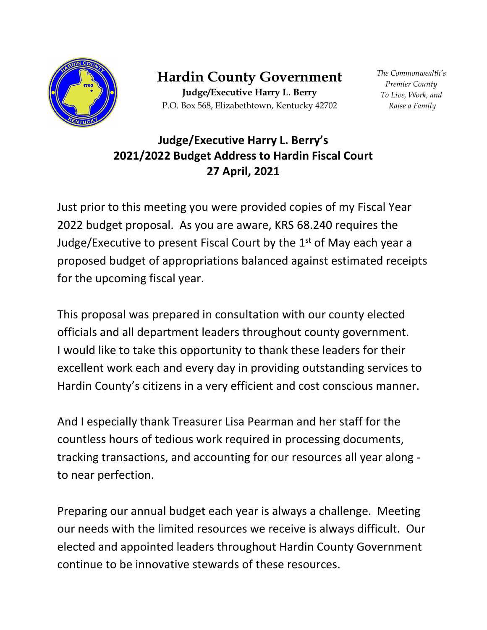

**Hardin County Government**

**Judge/Executive Harry L. Berry** P.O. Box 568, Elizabethtown, Kentucky 42702 *The Commonwealth's Premier County To Live, Work, and Raise a Family*

## **Judge/Executive Harry L. Berry's 2021/2022 Budget Address to Hardin Fiscal Court 27 April, 2021**

Just prior to this meeting you were provided copies of my Fiscal Year 2022 budget proposal. As you are aware, KRS 68.240 requires the Judge/Executive to present Fiscal Court by the  $1<sup>st</sup>$  of May each year a proposed budget of appropriations balanced against estimated receipts for the upcoming fiscal year.

This proposal was prepared in consultation with our county elected officials and all department leaders throughout county government. I would like to take this opportunity to thank these leaders for their excellent work each and every day in providing outstanding services to Hardin County's citizens in a very efficient and cost conscious manner.

And I especially thank Treasurer Lisa Pearman and her staff for the countless hours of tedious work required in processing documents, tracking transactions, and accounting for our resources all year along to near perfection.

Preparing our annual budget each year is always a challenge. Meeting our needs with the limited resources we receive is always difficult. Our elected and appointed leaders throughout Hardin County Government continue to be innovative stewards of these resources.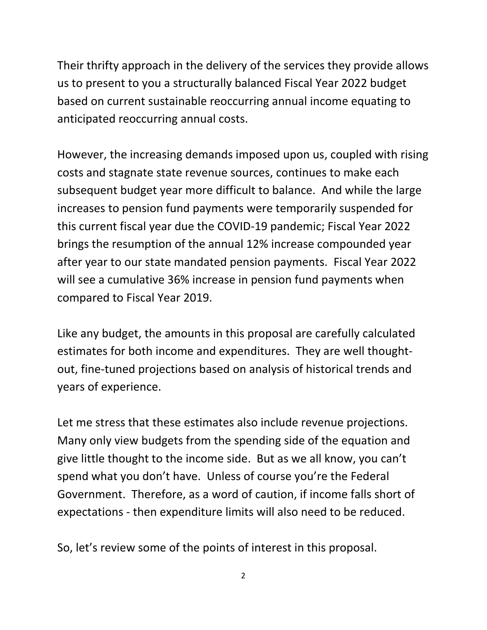Their thrifty approach in the delivery of the services they provide allows us to present to you a structurally balanced Fiscal Year 2022 budget based on current sustainable reoccurring annual income equating to anticipated reoccurring annual costs.

However, the increasing demands imposed upon us, coupled with rising costs and stagnate state revenue sources, continues to make each subsequent budget year more difficult to balance. And while the large increases to pension fund payments were temporarily suspended for this current fiscal year due the COVID-19 pandemic; Fiscal Year 2022 brings the resumption of the annual 12% increase compounded year after year to our state mandated pension payments. Fiscal Year 2022 will see a cumulative 36% increase in pension fund payments when compared to Fiscal Year 2019.

Like any budget, the amounts in this proposal are carefully calculated estimates for both income and expenditures. They are well thoughtout, fine-tuned projections based on analysis of historical trends and years of experience.

Let me stress that these estimates also include revenue projections. Many only view budgets from the spending side of the equation and give little thought to the income side. But as we all know, you can't spend what you don't have. Unless of course you're the Federal Government. Therefore, as a word of caution, if income falls short of expectations - then expenditure limits will also need to be reduced.

So, let's review some of the points of interest in this proposal.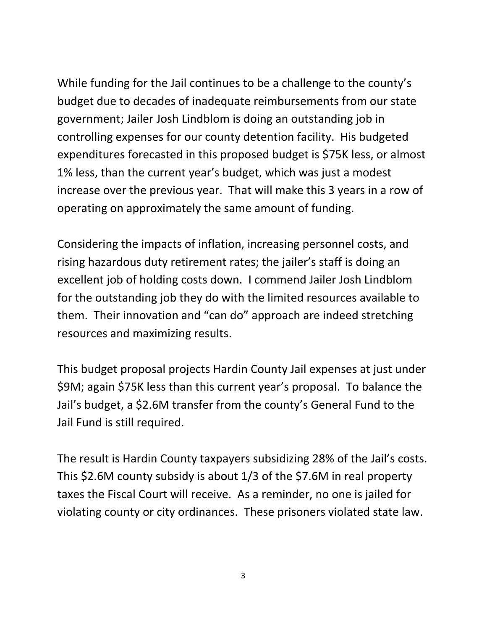While funding for the Jail continues to be a challenge to the county's budget due to decades of inadequate reimbursements from our state government; Jailer Josh Lindblom is doing an outstanding job in controlling expenses for our county detention facility. His budgeted expenditures forecasted in this proposed budget is \$75K less, or almost 1% less, than the current year's budget, which was just a modest increase over the previous year. That will make this 3 years in a row of operating on approximately the same amount of funding.

Considering the impacts of inflation, increasing personnel costs, and rising hazardous duty retirement rates; the jailer's staff is doing an excellent job of holding costs down. I commend Jailer Josh Lindblom for the outstanding job they do with the limited resources available to them. Their innovation and "can do" approach are indeed stretching resources and maximizing results.

This budget proposal projects Hardin County Jail expenses at just under \$9M; again \$75K less than this current year's proposal. To balance the Jail's budget, a \$2.6M transfer from the county's General Fund to the Jail Fund is still required.

The result is Hardin County taxpayers subsidizing 28% of the Jail's costs. This \$2.6M county subsidy is about 1/3 of the \$7.6M in real property taxes the Fiscal Court will receive. As a reminder, no one is jailed for violating county or city ordinances. These prisoners violated state law.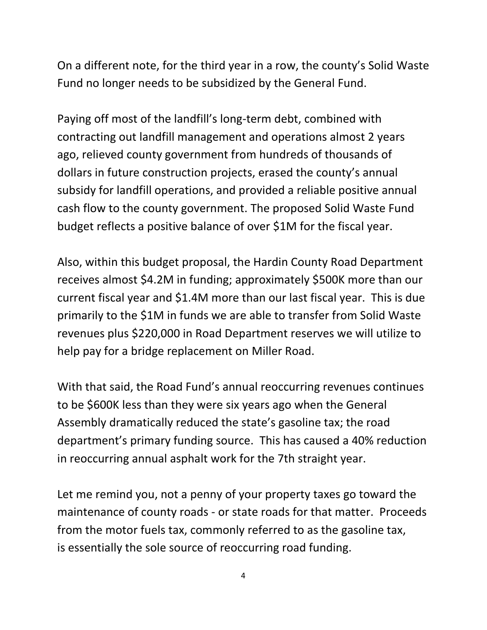On a different note, for the third year in a row, the county's Solid Waste Fund no longer needs to be subsidized by the General Fund.

Paying off most of the landfill's long-term debt, combined with contracting out landfill management and operations almost 2 years ago, relieved county government from hundreds of thousands of dollars in future construction projects, erased the county's annual subsidy for landfill operations, and provided a reliable positive annual cash flow to the county government. The proposed Solid Waste Fund budget reflects a positive balance of over \$1M for the fiscal year.

Also, within this budget proposal, the Hardin County Road Department receives almost \$4.2M in funding; approximately \$500K more than our current fiscal year and \$1.4M more than our last fiscal year. This is due primarily to the \$1M in funds we are able to transfer from Solid Waste revenues plus \$220,000 in Road Department reserves we will utilize to help pay for a bridge replacement on Miller Road.

With that said, the Road Fund's annual reoccurring revenues continues to be \$600K less than they were six years ago when the General Assembly dramatically reduced the state's gasoline tax; the road department's primary funding source. This has caused a 40% reduction in reoccurring annual asphalt work for the 7th straight year.

Let me remind you, not a penny of your property taxes go toward the maintenance of county roads - or state roads for that matter. Proceeds from the motor fuels tax, commonly referred to as the gasoline tax, is essentially the sole source of reoccurring road funding.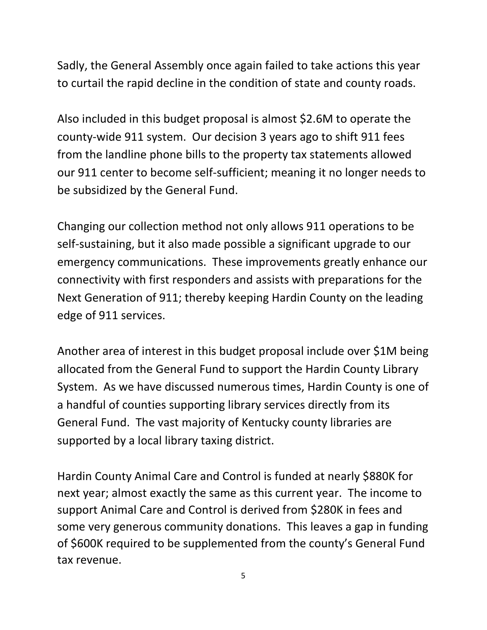Sadly, the General Assembly once again failed to take actions this year to curtail the rapid decline in the condition of state and county roads.

Also included in this budget proposal is almost \$2.6M to operate the county-wide 911 system. Our decision 3 years ago to shift 911 fees from the landline phone bills to the property tax statements allowed our 911 center to become self-sufficient; meaning it no longer needs to be subsidized by the General Fund.

Changing our collection method not only allows 911 operations to be self-sustaining, but it also made possible a significant upgrade to our emergency communications. These improvements greatly enhance our connectivity with first responders and assists with preparations for the Next Generation of 911; thereby keeping Hardin County on the leading edge of 911 services.

Another area of interest in this budget proposal include over \$1M being allocated from the General Fund to support the Hardin County Library System. As we have discussed numerous times, Hardin County is one of a handful of counties supporting library services directly from its General Fund. The vast majority of Kentucky county libraries are supported by a local library taxing district.

Hardin County Animal Care and Control is funded at nearly \$880K for next year; almost exactly the same as this current year. The income to support Animal Care and Control is derived from \$280K in fees and some very generous community donations. This leaves a gap in funding of \$600K required to be supplemented from the county's General Fund tax revenue.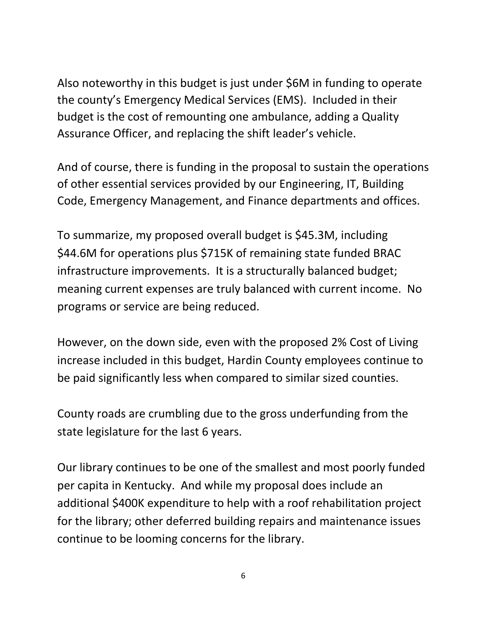Also noteworthy in this budget is just under \$6M in funding to operate the county's Emergency Medical Services (EMS). Included in their budget is the cost of remounting one ambulance, adding a Quality Assurance Officer, and replacing the shift leader's vehicle.

And of course, there is funding in the proposal to sustain the operations of other essential services provided by our Engineering, IT, Building Code, Emergency Management, and Finance departments and offices.

To summarize, my proposed overall budget is \$45.3M, including \$44.6M for operations plus \$715K of remaining state funded BRAC infrastructure improvements. It is a structurally balanced budget; meaning current expenses are truly balanced with current income. No programs or service are being reduced.

However, on the down side, even with the proposed 2% Cost of Living increase included in this budget, Hardin County employees continue to be paid significantly less when compared to similar sized counties.

County roads are crumbling due to the gross underfunding from the state legislature for the last 6 years.

Our library continues to be one of the smallest and most poorly funded per capita in Kentucky. And while my proposal does include an additional \$400K expenditure to help with a roof rehabilitation project for the library; other deferred building repairs and maintenance issues continue to be looming concerns for the library.